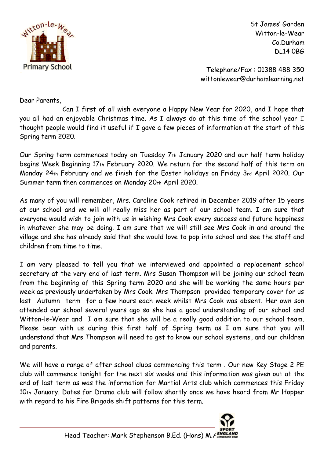

St James' Garden Witton-le-Wear Co.Durham DL14 0BG

Telephone/Fax : 01388 488 350 wittonlewear@durhamlearning.net

Dear Parents,

 Can I first of all wish everyone a Happy New Year for 2020, and I hope that you all had an enjoyable Christmas time. As I always do at this time of the school year I thought people would find it useful if I gave a few pieces of information at the start of this Spring term 2020.

Our Spring term commences today on Tuesday 7th January 2020 and our half term holiday begins Week Beginning 17th February 2020. We return for the second half of this term on Monday 24th February and we finish for the Easter holidays on Friday 3rd April 2020. Our Summer term then commences on Monday 20th April 2020.

As many of you will remember, Mrs. Caroline Cook retired in December 2019 after 15 years at our school and we will all really miss her as part of our school team. I am sure that everyone would wish to join with us in wishing Mrs Cook every success and future happiness in whatever she may be doing. I am sure that we will still see Mrs Cook in and around the village and she has already said that she would love to pop into school and see the staff and children from time to time.

I am very pleased to tell you that we interviewed and appointed a replacement school secretary at the very end of last term. Mrs Susan Thompson will be joining our school team from the beginning of this Spring term 2020 and she will be working the same hours per week as previously undertaken by Mrs Cook. Mrs Thompson provided temporary cover for us last Autumn term for a few hours each week whilst Mrs Cook was absent. Her own son attended our school several years ago so she has a good understanding of our school and Witton-le-Wear and I am sure that she will be a really good addition to our school team. Please bear with us during this first half of Spring term as I am sure that you will understand that Mrs Thompson will need to get to know our school systems, and our children and parents.

We will have a range of after school clubs commencing this term . Our new Key Stage 2 PE club will commence tonight for the next six weeks and this information was given out at the end of last term as was the information for Martial Arts club which commences this Friday 10th January. Dates for Drama club will follow shortly once we have heard from Mr Hopper with regard to his Fire Brigade shift patterns for this term.